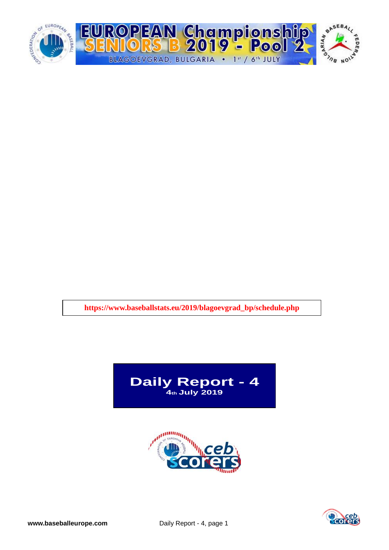

**https://www.baseballstats.eu/2019/blagoevgrad\_bp/schedule.php**





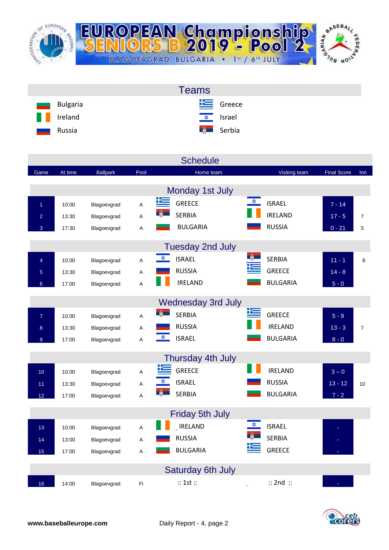

|                                      | <b>Teams</b>              |  |
|--------------------------------------|---------------------------|--|
| Bulgaria<br>$\overline{\phantom{a}}$ | $E$ Greece                |  |
| H<br>Ireland                         | <u><del>↓</del> srael</u> |  |
| Russia<br>ـــ                        | <b>Exercise</b> Serbia    |  |

|                 |         |                 |                | <b>Schedule</b>                                        |                             |                    |                |
|-----------------|---------|-----------------|----------------|--------------------------------------------------------|-----------------------------|--------------------|----------------|
| Game            | At time | <b>Ballpark</b> | Pool           | Home team                                              | Visiting team               | <b>Final Score</b> | Inn            |
|                 |         |                 |                | Monday 1st July                                        |                             |                    |                |
| $\overline{1}$  | 10:00   | Blagoevgrad     | A              | ≌<br><b>GREECE</b>                                     | <b>XXX</b><br><b>ISRAEL</b> | $7 - 14$           |                |
| $\overline{2}$  | 13:30   | Blagoevgrad     | A              | <b>SERBIA</b>                                          | <b>IRELAND</b>              | $17 - 5$           | $\overline{7}$ |
| 3               | 17:30   | Blagoevgrad     | A              | <b>BULGARIA</b>                                        | <b>RUSSIA</b>               | $0 - 21$           | 5              |
|                 |         |                 |                | <b>Tuesday 2nd July</b>                                |                             |                    |                |
| $\overline{4}$  | 10:00   | Blagoevgrad     | A              | $\frac{\triangleleft}{\triangleleft}$<br><b>ISRAEL</b> | <b>SERBIA</b>               | $11 - 1$           | 8              |
| 5               | 13:30   | Blagoevgrad     | A              | <b>RUSSIA</b>                                          | <b>GREECE</b>               | $14 - 8$           |                |
| $6\overline{6}$ | 17:00   | Blagoevgrad     | A              | <b>IRELAND</b>                                         | <b>BULGARIA</b>             | $5 - 0$            |                |
|                 |         |                 |                | <b>Wednesday 3rd July</b>                              |                             |                    |                |
| $\overline{7}$  | 10:00   | Blagoevgrad     | A              | <u>ie </u><br><b>SERBIA</b>                            | <b>GREECE</b>               | $5 - 9$            |                |
| 8               | 13:30   | Blagoevgrad     | Α              | <b>RUSSIA</b>                                          | <b>IRELAND</b>              | $13 - 3$           | $\overline{7}$ |
| 9 <sup>°</sup>  | 17:00   | Blagoevgrad     | $\overline{A}$ | $\frac{1}{2}$<br><b>ISRAEL</b>                         | <b>BULGARIA</b>             | $8 - 0$            |                |
|                 |         |                 |                | Thursday 4th July                                      |                             |                    |                |
| 10 <sub>1</sub> | 10:00   | Blagoevgrad     | A              | <b>GREECE</b>                                          | <b>IRELAND</b>              | $3 - 0$            |                |
| 11              | 13:30   | Blagoevgrad     | Α              | <b>ISRAEL</b>                                          | <b>RUSSIA</b>               | $13 - 12$          | 10             |
| 12              | 17:00   | Blagoevgrad     | A              | <b>SERBIA</b>                                          | <b>BULGARIA</b>             | $7 - 2$            |                |
|                 |         |                 |                | <b>Friday 5th July</b>                                 |                             |                    |                |
| 13              | 10:00   | Blagoevgrad     | A              | <b>IRELAND</b>                                         | <b>ISRAEL</b>               |                    |                |
| 14              | 13:00   | Blagoevgrad     | A              | <b>RUSSIA</b>                                          | <b>SERBIA</b>               |                    |                |
| 15              | 17:00   | Blagoevgrad     | A              | <b>BULGARIA</b>                                        | <b>GREECE</b>               |                    |                |
|                 |         |                 |                | <b>Saturday 6th July</b>                               |                             |                    |                |
| 16              | 14:00   | Blagoevgrad     | Fi             | :: 1st ::                                              | $::$ 2nd $::$               |                    |                |

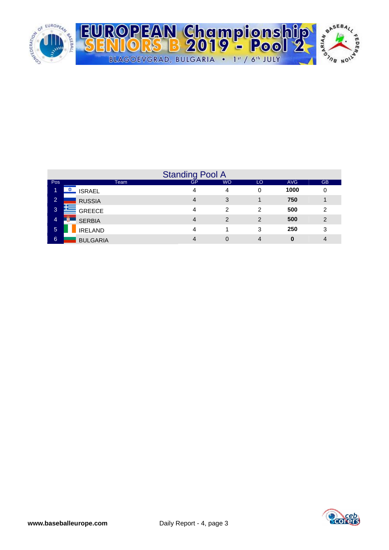

|                |                 | <b>Standing Pool A</b> |                |               |            |               |
|----------------|-----------------|------------------------|----------------|---------------|------------|---------------|
| <b>Pos</b>     | Team            | <b>GP</b>              | <b>WO</b>      | LO            | <b>AVG</b> | <b>GB</b>     |
| м              | <b>ISRAEL</b>   | 4                      | 4              |               | 1000       | 0             |
| $\overline{2}$ | <b>RUSSIA</b>   | $\overline{4}$         | 3              |               | 750        |               |
| 3              | <b>GREECE</b>   | 4                      | 2              | 2             | 500        | 2             |
| 4              | <b>SERBIA</b>   | 4                      | $\mathfrak{p}$ | $\mathcal{P}$ | 500        | $\mathcal{P}$ |
| 5              | <b>IRELAND</b>  | 4                      |                | 3             | 250        | 3             |
| 6              | <b>BULGARIA</b> |                        | 0              | 4             | 0          | 4             |

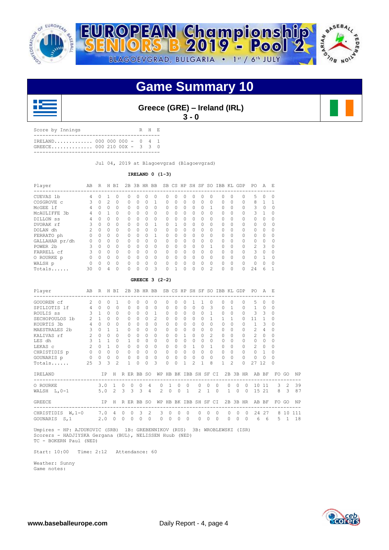



## **Game Summary 10**



**Greece (GRE) – Ireland (IRL) 3 - 0**

| Score by Innings                                          |  |  | R H R |  |
|-----------------------------------------------------------|--|--|-------|--|
| TRELAND 000 000 000 - 0 4 1<br>GREECE 000 210 00X - 3 3 0 |  |  |       |  |
|                                                           |  |  |       |  |

Jul 04, 2019 at Blagoevgrad (Blagoevgrad)

#### **IRELAND 0 (1-3)**

| Player          | AВ            | R        | H  | BI       |          |          | 2B 3B HR BB |          |          |              |   | SB CS HP SH SF |          | SO.            | IBB | KL       | GDP      | PO.           | Α        | E.       |
|-----------------|---------------|----------|----|----------|----------|----------|-------------|----------|----------|--------------|---|----------------|----------|----------------|-----|----------|----------|---------------|----------|----------|
| CUEVAS 1b       | 4             | ∩        |    | $\Omega$ | 0        | O        | 0           | 0        | Ω        | <sup>0</sup> | 0 | 0              | 0        |                | 0   | 0        | $\Omega$ | 5             | $\Omega$ | $\Omega$ |
| COSGROVE C      |               | 0        | 2. | $\Omega$ | 0        | 0        | 0           |          | 0        | $\Omega$     | 0 | 0              | 0        |                | 0   | $\Omega$ | 0        | 8             |          |          |
| MCGEE lf        | 4             | 0        | 0  | $\Omega$ | $\Omega$ | 0        | 0           | 0        | 0        | <sup>0</sup> | 0 | 0              | 0        |                | 0   | 0        | $\Omega$ | 3             | $\Omega$ | 0        |
| MCAULIFFE<br>3b | 4             | ∩        |    | $\Omega$ | $\Omega$ | 0        | 0           | $\Omega$ | 0        | <sup>0</sup> | 0 | 0              | 0        | Ω              | 0   | $\Omega$ | $\Omega$ | 3             |          |          |
| DILLON SS       | 4             | Λ        | 0  | $\Omega$ | 0        | O        | $\Omega$    | $\Omega$ | O        | $\Omega$     | 0 | 0              | $\Omega$ | 0              | 0   | $\Omega$ | $\Omega$ | 0             | $\Omega$ |          |
| DVORAK rf       |               | $\Omega$ | 0  | $\Omega$ | $\Omega$ | 0        | $\Omega$    |          | 0        |              | 0 | 0              | 0        | 0              | 0   | $\Omega$ | 0        | 0             | $\Omega$ | 0        |
| DOLAN dh        | $\mathcal{P}$ | $\cap$   | 0  | $\Omega$ | $\Omega$ | $\Omega$ | $\Omega$    | $\Omega$ | $\Omega$ | <sup>0</sup> | O | $\Omega$       | O        | ∩              | O   | $\Omega$ | $\Omega$ | 0             | $\Omega$ |          |
| FERRATO ph      |               | $\Omega$ | 0  | $\Omega$ | $\Omega$ | O        | $\Omega$    |          | O        | $\Omega$     | O | $\Omega$       | $\Omega$ | O              | O   | O        | $\Omega$ | 0             | $\Omega$ |          |
| GALLAHAR pr/dh  | $\Omega$      | 0        | 0  | $\Omega$ | $\Omega$ | 0        | $\Omega$    | $\Omega$ | 0        | $\Omega$     | 0 | 0              | $\Omega$ |                | 0   | 0        | 0        | 0             | $\Omega$ | $\Omega$ |
| POWER 2b        | 3             | $\cap$   | 0  | $\Omega$ | $\Omega$ | $\Omega$ | $\Omega$    | $\Omega$ | $\Omega$ | $\Omega$     | O | $\cap$         | 0        |                | O   | $\Omega$ | $\Omega$ | $\mathcal{L}$ | 3        | $\Omega$ |
| FARRELL cf      |               | $\Omega$ | 0  | $\Omega$ | O        | U        | $\Omega$    | $\Omega$ | O        | $\Omega$     | O | $\Omega$       | $\Omega$ |                | O   | $\Omega$ | $\Omega$ | 3             | $\Omega$ |          |
| O ROURKE p      | 0             | 0        | 0  | $\Omega$ | $\Omega$ | O        | $\Omega$    | 0        | 0        | ∩            | 0 | 0              | $\Omega$ |                | 0   | $\Omega$ | $\Omega$ | 0             |          | O        |
| WALSH p         | $\Omega$      | 0        | 0  | $\Omega$ | $\Omega$ | U        | $\Omega$    | $\Omega$ | 0        | ∩            | O | 0              | O        | 0              | O   | $\Omega$ | $\Omega$ | O             | $\Omega$ | ∩        |
| Totals          | 30            |          | 4  | $\Omega$ | 0        |          | $\Omega$    | 3        |          |              |   | 0              | $\Omega$ | $\mathfrak{D}$ | 0   | O        | 0        | 24            | 6        |          |

### **GREECE 3 (2-2)**

| Player            | AB R H BI    |                       |                |                 |         | 2B           |            |                |                | 3B HR BB SB CS HP SH SF SO IBB KL GDP                |              |              |                                  |                |          |                 |              |                |          |                | PO.                                        |                | A F.     |   |                      |     |
|-------------------|--------------|-----------------------|----------------|-----------------|---------|--------------|------------|----------------|----------------|------------------------------------------------------|--------------|--------------|----------------------------------|----------------|----------|-----------------|--------------|----------------|----------|----------------|--------------------------------------------|----------------|----------|---|----------------------|-----|
| GOUOREN cf        | $2^{\circ}$  | $\Omega$              | $\Omega$       | 1               |         | $\Omega$     | 0          | $\Omega$       | 0              | 0                                                    | $\Omega$     | 0            |                                  |                |          | $\Omega$        | $\Omega$     | $\Omega$       |          | $\Omega$       | 5                                          | $\Omega$       | 0        |   |                      |     |
| SPILIOTIS 1f      | $4 -$        | $\circ$               | $\circ$        | $\Omega$        |         | $\Omega$     | $\Omega$   | $\Omega$       | $\Omega$       | $\Omega$                                             | $\Omega$     | 0            | $\Omega$                         |                | $\Omega$ | 3               | $\Omega$     | <sup>1</sup>   |          | $\Omega$       | $\mathbf{1}$                               | $\circ$        | $\Omega$ |   |                      |     |
| ROULIS SS         |              | $3 \quad 1 \quad 0$   |                | $\Omega$        |         | $\Omega$     | $\circ$    | $\Omega$       | $\mathbf{1}$   | 0                                                    | $\Omega$     | 0            | $\Omega$                         |                | $\Omega$ |                 | $\Omega$     | $\Omega$       |          |                |                                            | 3 <sup>3</sup> | 0        |   |                      |     |
| SECHOPOULOS 1b    | $2\quad1$    |                       | $\Omega$       | $\Omega$        |         | $\Omega$     | $\Omega$   | $\Omega$       | $\mathcal{L}$  | $\Omega$                                             | $\Omega$     | $\Omega$     | $\Omega$                         |                | $\Omega$ |                 | 1            | $\overline{1}$ |          | $\bigcap$      | 11                                         |                | 0        |   |                      |     |
| KOURTIS 3b        | $4 -$        | $\Omega$              | $\Omega$       | $\Omega$        |         | $\Omega$     | $\Omega$   | $\bigcap$      | $\cap$         | $\Omega$                                             | $\Omega$     | $\Omega$     | $\cap$                           |                | $\cap$   | $\cap$          | $\bigcap$    | $\bigcap$      |          | 0              | $\overline{1}$                             | 3              | $\Omega$ |   |                      |     |
| MAESTRALES 2b     | $\mathbf{3}$ | $\Omega$              | $\overline{1}$ | $\mathbf{1}$    |         | 0            | $\Omega$   | $\Omega$       | 0              | $\Omega$                                             | $\Omega$     | 0            | $\Omega$                         |                | $\Omega$ | $\Omega$        | $\Omega$     | $\Omega$       |          | $\cap$         | $\mathcal{L}$                              | 4              | 0        |   |                      |     |
| KALIVAS rf        | 2            | $\Omega$              | $\Omega$       | $\Omega$        |         | $\Omega$     | $\circ$    | $\Omega$       | $\cap$         | $\Omega$                                             | $\Omega$     | $\mathbf{1}$ | $\begin{array}{c} \n\end{array}$ |                | $\Omega$ | $\mathcal{L}$   | $\bigcap$    | $\Omega$       |          |                | $\mathcal{L}$                              | $\Omega$       | 0        |   |                      |     |
| LES dh            | $\mathbf{3}$ |                       | $\mathbf{1}$   | $\Omega$        |         | $\mathbf{1}$ | $\Omega$   | $\Omega$       | $\Omega$       | $\Omega$                                             | $\Omega$     | $\circ$      | $\Omega$                         |                |          | $\Omega$        | $\Omega$     | $\Omega$       |          |                | $\begin{array}{c} \n\end{array}$           | $\Omega$       | 0        |   |                      |     |
| LEKAS C           | $2^{1}$      | $\Omega$              | 1              | $\Omega$        |         | $\Omega$     | $\Omega$   | $\Omega$       | $\Omega$       | $\Omega$                                             | <sup>0</sup> | 0            |                                  |                | $\Omega$ | $\mathbf{1}$    | $\Omega$     | $\Omega$       |          | $\bigcap$      | $\mathcal{L}$                              | $\Omega$       | $\Omega$ |   |                      |     |
| CHRISTIDIS p      |              | $0\qquad 0\qquad 0$   |                | $\circ$         |         | $\circ$      | $\circ$    | $\overline{0}$ | $\circ$        | 0                                                    | $\Omega$     | $\circ$      | $\circ$                          |                | $\circ$  | 0               | $\circ$      | 0              |          | $\Omega$       | $\circ$                                    |                | 0        |   |                      |     |
| GOUNARIS p        |              | $0\qquad 0\qquad 0$   |                | $\circ$         |         | $\circ$      |            | $0\quad 0$     | $\overline{0}$ | $\mathbf{0}$                                         | $\mathbf{0}$ | $\circ$      | $\circ$                          | $\overline{0}$ |          | $\mathbf{0}$    | $\mathbf{0}$ | $\Omega$       |          | $\Omega$       | $\Omega$                                   | $\Omega$       | $\cap$   |   |                      |     |
| Totals            | 25           | $\mathcal{E}$         | 3              | $\mathcal{L}$   |         | 1            | $\Omega$   | $\Omega$       | ς              | $\Omega$                                             | $\Omega$     | 1.           | 2                                |                | 1        | 8               | $\mathbf{1}$ | $\mathcal{L}$  |          | $\Omega$       | 27                                         | 12             | $\Omega$ |   |                      |     |
| IRELAND           |              |                       |                | IP H R ER BB SO |         |              |            |                |                | WP HB BK IBB SH SF CI                                |              |              |                                  |                |          |                 |              |                |          |                | 2B 3B HR AB BF                             |                |          |   | FO GO                | NP  |
| O ROURKE          |              |                       |                | $3.0 \quad 1$   | $\circ$ |              | $0\quad 0$ | $\overline{4}$ |                | $\Omega$                                             | 1            | $\circ$      | $\circ$                          | $\Omega$       | $\Omega$ |                 | $\Omega$     | $\Omega$       | $\Omega$ | $\Omega$       | 10                                         |                |          |   | $11 \quad 3 \quad 2$ | 39  |
| WALSH $L, 0-1$    |              | $5.0 \t2 \t3 \t3 \t3$ |                |                 |         |              |            | $\overline{4}$ |                | $2 \quad 0$                                          |              | $0\quad1$    |                                  |                |          | $2\quad1\quad0$ |              | $\mathbf{1}$   | $\circ$  | $\overline{0}$ |                                            | 15 21          |          |   | 8 3                  | 87  |
| <b>GREECE</b>     |              |                       | IP             | H               |         |              | R ER BB SO |                |                | WP HB BK IBB SH SF CI<br>___________________________ |              |              |                                  |                |          |                 |              |                |          | 2B 3B HR       | AB BF<br>--------------------------------- |                |          |   | FO GO                | NP  |
| CHRISTIDIS W, 1-0 | 7.0 4        |                       |                |                 | $\circ$ | $\circ$      | - 3        | -2             |                | 3<br>$\circ$                                         |              | $\Omega$     | $\Omega$                         | $\Omega$       | $\Omega$ |                 | $\Omega$     | $\Omega$       | $\Omega$ | $\Omega$       | 24                                         | 27             |          |   | 8 1 0                | 111 |
| GOUNARIS<br>S, 1  |              |                       |                | $2.0 \t 0$      | $\circ$ | 0            | $\circ$    | $\Omega$       |                | 0<br>0                                               |              | 0            | $\Omega$                         | 0              | $\circ$  |                 | $\Omega$     | 0              | $\circ$  | $\circ$        | 6                                          | 6              |          | 5 |                      | 18  |

 Umpires - HP: AJDUKOVIC (SRB) 1B: GREBENNIKOV (RUS) 3B: WROBLEWSKI (ISR) Scorers - HADJIYSKA Gergana (BUL), NELISSEN Huub (NED) TC - BOKERN Paul (NED)

Start: 10:00 Time: 2:12 Attendance: 60

 Weather: Sunny Game notes:

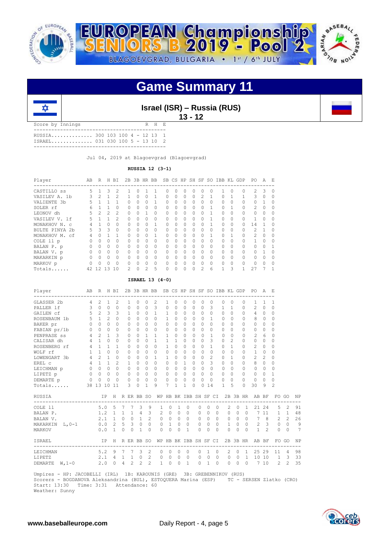

## **Game Summary 11**



**Israel (ISR) – Russia (RUS) 13 - 12**

Score by Innings R H E --------------------------------------------- RUSSIA.............. 300 103 100 4 - 12 13 1 ISRAEL.............. 031 030 100 5 - 13 10 2 ---------------------------------------------

Jul 04, 2019 at Blagoevgrad (Blagoevgrad)

**RUSSIA 12 (3-1)**

| Player            | AВ | R              | Н        | ВI             | 2B             |              | 3B HR BB       |          | SB. |           | CS HP SH SF |           |                | SO.       | IBB KL GDP |          |   | PO.            | A        | E.        |
|-------------------|----|----------------|----------|----------------|----------------|--------------|----------------|----------|-----|-----------|-------------|-----------|----------------|-----------|------------|----------|---|----------------|----------|-----------|
| CASTILLO SS       | 5. |                | 3        | $\mathfrak{D}$ |                | <sup>0</sup> |                |          | Ω   | 0         | O           | ∩         | O              | $\cap$    |            | O        | O | $\mathcal{L}$  | 3        | $\Omega$  |
| VASILEV A. 1b     |    | $\overline{2}$ |          | $\mathcal{P}$  |                | 0            | $\Omega$       |          | 0   | $\Omega$  | $\Omega$    | $\Omega$  | $\mathcal{L}$  |           | $\Omega$   |          |   | 3              | 0        | $\Omega$  |
| VALIENTE 3b       | 5  |                |          |                | 0              | 0            | 0              |          | 0   | $\Omega$  | $\Omega$    | $\Omega$  | $\Omega$       | $\Omega$  | $\Omega$   | 0        |   | $\Omega$       |          | $\Omega$  |
| SOLER rf          | 6  |                |          | <sup>0</sup>   | $\Omega$       | $\Omega$     | $\bigcap$      | $\Omega$ | 0   | $\bigcap$ | $\Omega$    | $\bigcap$ | $\cap$         |           | $\bigcap$  |          |   | $\mathcal{P}$  | $\cap$   | $\bigcap$ |
| LEONOV dh         | 5  | 2              | 2        | $\mathcal{P}$  | $\Omega$       | $\Omega$     |                | $\Omega$ | 0   | $\bigcap$ | $\Omega$    | $\Omega$  | 0              |           | $\bigcap$  | $\Omega$ | U | $\Omega$       | O        | $\Omega$  |
| VASILEV V. 1f     | 5. |                |          | $\mathcal{P}$  | $\Omega$       | O            | $\Omega$       | $\Omega$ | 0   | $\Omega$  | $\Omega$    | $\Omega$  | $\Omega$       |           | $\Omega$   | $\Omega$ |   |                | 0        | $\Omega$  |
| MONAKHOV N. C     |    |                | 0        | <sup>0</sup>   | 0              | $\Omega$     | $\Omega$       |          | 0   | $\Omega$  | $\Omega$    | $\Omega$  | <sup>0</sup>   |           | $\bigcap$  | 0        |   | 14             |          | $\Omega$  |
| BULTE PINYA 2b    | 5. | 3              | 3        | $\Omega$       | 0              | 0            | $\Omega$       | $\Omega$ | 0   | $\Omega$  | $\Omega$    | $\Omega$  | $\Omega$       | $\Omega$  | $\Omega$   | $\Omega$ |   | 2              |          | $\Omega$  |
| MONAKHOV M.<br>сf | 4  | $\bigcap$      |          |                | $\cap$         | $\Omega$     | $\Omega$       |          | 0   | $\bigcap$ | $\Omega$    | $\cap$    | $\Omega$       |           | $\Omega$   |          |   | $\overline{2}$ | $\Omega$ | $\Omega$  |
| COLE 11 p         |    | U              | $\Omega$ | $\cap$         | 0              | $\Omega$     | $\Omega$       | $\Omega$ | U   | $\Omega$  | $\cap$      | $\Omega$  | $\cap$         | $\cap$    | $\bigcap$  | O        |   |                | U        | $\bigcap$ |
| BALAN P. p        |    | $\Omega$       | $\Omega$ | $\Omega$       | 0              | $\Omega$     | $\Omega$       | $\Omega$ | 0   | $\Omega$  | $\Omega$    | 0         | $\Omega$       | $\Omega$  | $\Omega$   | $\Omega$ |   | $\cap$         | 0        |           |
| BALAN V. p        |    | $\Omega$       | 0        | $\Omega$       | 0              | 0            | $\Omega$       | $\Omega$ | 0   | $\bigcap$ | $\Omega$    | $\Omega$  | $\Omega$       | $\Omega$  | $\Omega$   | $\Omega$ |   | $\cap$         |          | $\Omega$  |
| MAKARKIN p        |    | $\bigcap$      | 0        | $\bigcap$      | 0              | $\cap$       | $\bigcap$      | $\Omega$ | U   | $\bigcap$ | $\cap$      | $\bigcap$ | <sup>0</sup>   | $\bigcap$ | $\bigcap$  | $\Omega$ | O | $\cap$         | $\Omega$ | $\bigcap$ |
| MARKOV p          |    | $\bigcap$      | 0        | $\bigcap$      | $\cap$         | $\Omega$     | $\Omega$       | $\Omega$ | 0   | $\Omega$  | $\Omega$    | $\cap$    | $\Omega$       | $\Omega$  | $\Omega$   | $\Omega$ | U | $\Omega$       | O        | $\cap$    |
| Totals            |    | 42 12 13       |          | 10             | $\mathfrak{D}$ | $\Omega$     | $\mathfrak{D}$ | 5        | 0   | $\Omega$  | $\Omega$    | 0         | $\mathfrak{D}$ | 6         |            | 3        |   | 27             |          |           |

#### **ISRAEL 13 (4-0)**

| Player                        |                | AB R H BI           |                |                |                 |                         |                |                | 2B 3B HR BB SB CS HP SH SF SO IBB KL GDP PO |                                  |                     |                |          |           |                |                |              |                          |                |                                                   | A F.           |                     |                |           |
|-------------------------------|----------------|---------------------|----------------|----------------|-----------------|-------------------------|----------------|----------------|---------------------------------------------|----------------------------------|---------------------|----------------|----------|-----------|----------------|----------------|--------------|--------------------------|----------------|---------------------------------------------------|----------------|---------------------|----------------|-----------|
| GLASSER 2b                    | $\overline{4}$ | $\mathfrak{D}$      | $\mathbf{1}$   | $\overline{c}$ |                 | 1                       | $\Omega$       | $\Omega$       | $\overline{c}$                              | 1                                | $\Omega$            | 0              | $\Omega$ | $\Omega$  | 0              |                | $\Omega$     | $\Omega$                 | 0              | 1                                                 | 1              | 1                   |                |           |
| PALLER 1f                     | 3              | $\Omega$            | $\circ$        | $\Omega$       |                 | 0                       | $\bigcap$      | $\Omega$       | 3                                           | $\Omega$                         | $\Omega$            | $\Omega$       | $\Omega$ | $\bigcap$ | 3              |                | 1            | $\mathbf{1}$             | $\Omega$       | 2                                                 | $\Omega$       | $\Omega$            |                |           |
| GAILEN Cf                     | 5              | 2                   | 3              | 3              |                 | $\mathbf{1}$            | $\Omega$       | $\Omega$       | $\overline{1}$                              | $\mathbf{1}$                     | $\Omega$            | $\Omega$       | $\Omega$ | $\Omega$  | $\Omega$       |                | $\Omega$     | $\Omega$                 | $\Omega$       | 4                                                 | 0              | 0                   |                |           |
| ROSENBAUM 1b                  |                | $5 \quad 1$         | $\mathfrak{D}$ | $\Omega$       |                 | $\Omega$                | $\Omega$       | $\Omega$       | $\Omega$                                    | 1                                | $\Omega$            | $\Omega$       | $\Omega$ | $\Omega$  | 1              |                | $\Omega$     | $\Omega$                 | $\Omega$       | 8                                                 | $\Omega$       | $\Omega$            |                |           |
| BAKER pr                      | $\circ$        | $\cap$              | $\Omega$       | $\Omega$       |                 | $\Omega$                | $\Omega$       | $\Omega$       | $\Omega$                                    | $\Omega$                         | $\Omega$            | $\Omega$       | $\cap$   | $\Omega$  | $\Omega$       |                | $\Omega$     | $\Omega$                 | $\cap$         | $\bigcap$                                         | 0              | 0                   |                |           |
| FABIAN pr/1b                  | $\circ$        | $\Omega$            | $\Omega$       | $\Omega$       |                 | $\Omega$                | $\Omega$       | $\Omega$       | $\Omega$                                    | $\Omega$                         | $\Omega$            | $\Omega$       | $\cap$   | $\Omega$  | $\Omega$       |                | $\Omega$     | $\cap$                   | $\cap$         | 0                                                 | $\Omega$       | $\Omega$            |                |           |
| PENPRASE SS                   | $4\phantom{0}$ | $\overline{2}$      | $\mathbf{1}$   | 3              |                 | 0                       | $\Omega$       | 1              | $\mathbf{1}$                                | 1                                | $\Omega$            | 0              | $\Omega$ | $\Omega$  | $\mathbf{1}$   |                | $\Omega$     | $\Omega$                 | 0              | $\overline{c}$                                    | 6              | $\Omega$            |                |           |
| CALISAR dh                    | 4              | $\mathbf{1}$        | $\Omega$       | $\Omega$       |                 | $\Omega$                | $\Omega$       | $\Omega$       | $\mathbf{1}$                                | $\mathbf{1}$                     | 1                   | $\Omega$       | $\cap$   | $\Omega$  | 3              |                | $\Omega$     | $\mathcal{D}$            | $\Omega$       | $\Omega$                                          | $\Omega$       | 0                   |                |           |
| ROSENBERG rf                  | $4 -$          | $\overline{1}$      | $\mathbf{1}$   | 1              |                 | $\Omega$                | 0              | $\Omega$       | $\Omega$                                    | $\mathbf{1}$                     | $\Omega$            | $\Omega$       | $\cap$   | $\Omega$  | 1              |                | $\Omega$     | $\mathbf{1}$             | $\bigcap$      | 2                                                 | $\Omega$       | 0                   |                |           |
| WOLF rf                       | $\mathbf{1}$   | $\mathbf{1}$        | $\Omega$       | $\Omega$       |                 | $\Omega$                | $\Omega$       | $\Omega$       | $\Omega$                                    | $\Omega$                         | $\Omega$            | $\Omega$       | $\Omega$ | $\Omega$  | $\Omega$       |                | $\Omega$     | $\Omega$                 | $\Omega$       | $\mathbf{1}$                                      | $\Omega$       | $\Omega$            |                |           |
| LOWENGART 3b                  |                | $4\quad 2$          | $\mathbf{1}$   | $\Omega$       |                 | $\Omega$                | $\Omega$       | $\Omega$       | 1                                           | 1                                | $\bigcap$           | $\Omega$       | $\cap$   | $\bigcap$ | $\mathfrak{D}$ |                | $\Omega$     | $\mathbf{1}$             | $\cap$         | 2                                                 | 2              | 0                   |                |           |
| EREL C                        |                | $4 \quad 1$         | $\mathbf{1}$   | $\mathfrak{D}$ |                 | 1                       | $\Omega$       | $\Omega$       | $\Omega$                                    | $\Omega$                         | $\Omega$            | $\mathbf{1}$   | $\cap$   | $\Omega$  | 3              |                | $\Omega$     | $\cap$                   | $\bigcap$      | 8                                                 | $\circ$        | $\Omega$            |                |           |
| LEICHMAN p                    |                | $0 \quad 0$         | $\Omega$       | $\Omega$       |                 | 0                       | $\Omega$       | $\Omega$       | $\Omega$                                    | $\Omega$                         | $\Omega$            | $\Omega$       | $\Omega$ | $\Omega$  | $\Omega$       |                | $\Omega$     | $\Omega$                 | $\Omega$       | $\Omega$                                          | $\Omega$       | $\Omega$            |                |           |
| LIPETZ p                      | $\circ$        | $\bigcap$           | $\Omega$       | $\circ$        |                 | 0                       | $\circ$        | $\circ$        | $\Omega$                                    | 0                                | $\Omega$            | $\circ$        | $\Omega$ | $\Omega$  | $\Omega$       |                | $\Omega$     | $\Omega$                 | $\Omega$       | $\Omega$                                          | $\Omega$       | 1                   |                |           |
| DEMARTE p                     | $\circ$        | $\circ$             | $\circ$        | $\Omega$       |                 | $\Omega$                | $\Omega$       | 0              | $\Omega$                                    | 0                                | $\Omega$            | $\Omega$       | $\Omega$ | $\Omega$  | 0              |                | $\Omega$     | $\Omega$                 | $\cap$         | $\circ$                                           | $\Omega$       | $\Omega$            |                |           |
| Totals                        |                | 38 13               | 10             | 11             |                 | ς                       | $\Omega$       | 1              | 9                                           | 7                                | 1                   | 1              | $\Omega$ | $\Omega$  | 14             |                | $\mathbf{1}$ | 5                        | $\Omega$       | 30                                                | 9              | $\mathfrak{D}$      |                |           |
| RUSSIA                        |                |                     | IP             |                |                 |                         |                |                |                                             |                                  |                     |                |          |           |                |                |              |                          |                | H R ER BB SO WP HB BK IBB SH SF CI 2B 3B HR AB BF |                |                     | FO GO          | <b>NP</b> |
| COLE 11                       |                |                     | 5.05           |                | $\overline{7}$  | $\overline{7}$          | 3              | 9              |                                             | $\mathbf{0}$<br>$\mathbf{1}$     | 1                   |                | $\Omega$ | $\Omega$  | $\Omega$       | $\Omega$       | 2            | $\circ$                  | $\mathbf{1}$   | 21                                                | 24             | 5                   | $\mathfrak{D}$ | 91        |
| BALAN P.                      |                |                     |                | $1.2 \quad 1$  | $\mathbf{1}$    |                         | 1 4            | 3              |                                             | $\circ$<br>$\mathbf{2}^{\prime}$ | $\Omega$            | $\Omega$       |          | $\circ$   | $\Omega$       | $\Omega$       | $\Omega$     | $\Omega$                 | $\Omega$       | $7\phantom{.0}$                                   | 11             | $\mathbf{1}$        | $\mathbf{1}$   | 48        |
| BALAN V.                      |                |                     |                | $2.1 \quad 1$  | $\circ$         |                         | $0\quad1$      | $\overline{c}$ |                                             | $\circ$<br>$\Omega$              | $\Omega$            |                | $\Omega$ | $\Omega$  | $\Omega$       | $\Omega$       | $\Omega$     |                          | $0 \quad 0$    | $\overline{7}$                                    | 8              | $\overline{c}$      | $\mathfrak{D}$ | 26        |
| MAKARKIN L, 0-1               |                |                     | 0.02           |                | 5               | $\overline{\mathbf{3}}$ | $\circ$        | $\Omega$       |                                             | $\mathbf{1}$<br>$\circ$          | $\Omega$            |                | $\Omega$ | $\circ$   | $\Omega$       | $\Omega$       | $\mathbf{1}$ | $\Omega$                 | $\bigcirc$     | 2                                                 | 3              | $\circ$             | $\Omega$       | 9         |
| MARKOV                        |                |                     | 0.0            | $\mathbf{1}$   | $\Omega$        | $\Omega$                | $\mathbf{1}$   | $\Omega$       |                                             | $\Omega$<br>$\Omega$             | $\Omega$            | $\overline{1}$ |          | $\Omega$  | $\Omega$       | $\Omega$       | $\Omega$     | $\Omega$                 | $\Omega$       | $\mathbf{1}$                                      | $\mathfrak{D}$ | $\Omega$            | $\Omega$       | 7         |
| ISRAEL                        |                |                     | IP -           |                |                 |                         | H R ER BB SO   |                |                                             | WP HB BK IBB SH SF CI            |                     |                |          |           |                |                |              |                          |                | 2B 3B HR AB BF                                    |                |                     | FO GO          | NF        |
| -----------------<br>LEICHMAN |                | ------------------- | 5.2            | - 9            | $7\phantom{.0}$ | 7                       | 3              | 2              |                                             | 0<br>$\Omega$                    | 0                   |                | $\circ$  | $\circ$   | 1              | $\circ$        | 2            | $\Omega$                 | 1              | -----------------------------<br>25               | 29             | 11                  | $\overline{4}$ | 98        |
| LIPETZ                        |                |                     | 2.1            |                | $\mathbf{1}$    |                         | $\circ$        | 2              |                                             | $\circ$                          |                     |                | $\circ$  | $\circ$   | $\circ$        | $\overline{0}$ | $\circ$      |                          | $\overline{1}$ | 10                                                | 10             |                     | 3              | 33        |
| DEMARTE<br>$W, 1-0$           |                |                     | 2.0            | 4<br>$\Omega$  | $\overline{4}$  | 1<br>$\mathfrak{D}$     | $\mathfrak{D}$ | $\mathfrak{D}$ | $\circ$                                     | $\mathbf{1}$<br>$\Omega$         | $\circ$<br>$\Omega$ | $\overline{1}$ |          | $\Omega$  | $\mathbf{1}$   | $\Omega$       | $\Omega$     | $\mathbf{0}$<br>$\Omega$ | $\Omega$       | $7\phantom{.0}$                                   | 10             | 1<br>$\mathfrak{D}$ | $\mathfrak{D}$ | 35        |
|                               |                |                     |                |                |                 |                         |                |                |                                             |                                  |                     |                |          |           |                |                |              |                          |                |                                                   |                |                     |                |           |

 Umpires - HP: JACOBELLI (IRL) 1B: KAROUNIS (GRE) 3B: GREBENNIKOV (RUS) Scorers - BOGDANOVA Aleksandrina (BUL), ESTOQUERA Marina (ESP) TC - SERSEN Zlatko (CRO) Start: 13:30 Time: 3:31 Attendance: 60 Weather: Sunny

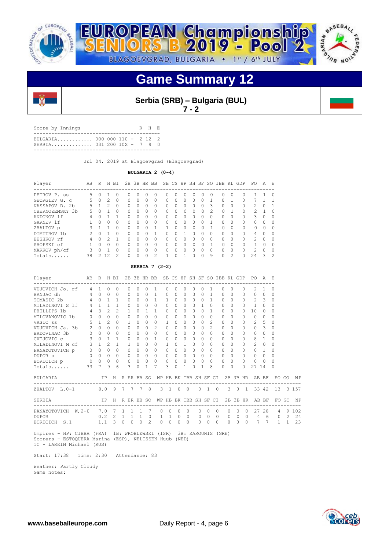



**Game Summary 12**



**Serbia (SRB) – Bulgaria (BUL)**

**7 - 2**

Score by Innings R H E -<br>------------------------- BULGARIA............ 000 000 110 - 2 12 2 SERBIA.............. 031 200 10X - 7 9 0 -------------------------------------------

Jul 04, 2019 at Blagoevgrad (Blagoevgrad)

### **BULGARIA 2 (0-4)**

| Player                        | AB | R      | Н             | BI           | 2B | 3B           | HR | BB            |          |          | SB CS HP |          | SH SF | SO.            | IBB          | KL            | GDP       | PO.            | Α        | Е        |
|-------------------------------|----|--------|---------------|--------------|----|--------------|----|---------------|----------|----------|----------|----------|-------|----------------|--------------|---------------|-----------|----------------|----------|----------|
| PETROV P.<br>SS               | 5. |        |               | 0            | O  | $\Omega$     |    | $^{()}$       | $^{()}$  |          | $^{(1)}$ | 0        | 0     | $\Omega$       |              |               |           |                |          | $\Omega$ |
| GEORGIEV G. C                 | 5. |        | $\mathcal{P}$ | $\Omega$     | 0  | $\Omega$     | Ω  | $\Omega$      | O        |          | $\Omega$ | O.       | Ω     |                | $\Omega$     |               | $\Omega$  |                |          |          |
| NASSAPOV D.<br>2 <sub>b</sub> | 5. |        | っ             | $\Omega$     | 0  | $\cap$       | 0  | $\Omega$      | $\Omega$ |          | $\Omega$ | 0        | 0     | 3              | $\Omega$     | $\Omega$      | $\Omega$  | $\mathfrak{D}$ | 0        |          |
| CHERNOZEMSKY<br>.3b           | 5. |        |               | 0            | 0  | $\Omega$     | 0  | 0             | O        | $\Omega$ | 0        | 0        | 0     | $\mathfrak{D}$ | <sup>0</sup> |               | 0         | $\mathcal{L}$  |          | $\Omega$ |
| ANDONOV 1f                    | 4  |        |               |              | 0  | $\Omega$     | ∩  | $\Omega$      | $\Omega$ |          | $\Omega$ | O.       | Ω     | $\Omega$       | $\Omega$     |               | $\Omega$  | 3              | $\Omega$ |          |
| GARNEV 1f                     |    | ∩      | Λ             | <sup>0</sup> | 0  | <sup>0</sup> | ∩  | $\Omega$      | 0        | ∩        | $\Omega$ | 0        | 0     |                | $\Omega$     | $\cap$        | $\bigcap$ | $\bigcap$      | 0        | n        |
| ZHALTOV p                     | Κ  |        |               | ∩            | 0  | $\cap$       | Λ  |               |          |          | $\Omega$ | $\Omega$ | 0     |                | ∩            |               | O.        | 0              | $\Omega$ | $\Omega$ |
| DIMITROV 1b                   |    | $\cap$ |               | $\Omega$     | 0  | $\cap$       |    |               | $\Omega$ |          |          | ∩        | Ω     | $\Omega$       | $\Omega$     |               | $\Omega$  | 4              | $\Omega$ | O        |
| BESHKOV rf                    | 4  |        | っ             |              | U  | $\cap$       | Λ  | $\Omega$      | 0        | Λ        | $\cap$   | 0        | 0     | $\Omega$       | $\Omega$     | $\cap$        | $\Omega$  | $\mathcal{P}$  | $\Omega$ | ∩        |
| SHOPSKI cf                    |    | ∩      | Λ             | 0            | U  | $\cap$       | Λ  | $\Omega$      | O        | 0        | $\Omega$ | 0        | O     |                | $\Omega$     |               | 0         |                | $\Omega$ | ∩        |
| MARKOV ph/cf                  | ς  |        |               | $\Omega$     | U  | $\cap$       | Ω  | $\Omega$      | $\Omega$ |          | $\Omega$ | U        | O     | $\Omega$       | $\Omega$     |               | $\Omega$  | $\mathfrak{D}$ | $\Omega$ |          |
| Totals                        | 38 |        | 12            | $\hat{ }$    | 0  |              | Λ  | $\mathcal{L}$ | 1        |          |          | ∩        | 0     | 9              | $\Omega$     | $\mathcal{P}$ | $\cap$    | 2.4            | 3        | っ        |

#### **SERBIA 7 (2-2)**

| Player              | AB R H BI<br>-------------------- |                |                |                |              |           |                 |              | 2B 3B HR BB SB CS HP SH SF SO IBB KL GDP |              |              |                       |              |           |                   |          |           |           |                | PO .<br>-------------- | <b>A</b>                | F.                                                         |              |                |
|---------------------|-----------------------------------|----------------|----------------|----------------|--------------|-----------|-----------------|--------------|------------------------------------------|--------------|--------------|-----------------------|--------------|-----------|-------------------|----------|-----------|-----------|----------------|------------------------|-------------------------|------------------------------------------------------------|--------------|----------------|
| VUJOVICH Jo. rf     | $4\overline{ }$                   | $\mathbf{1}$   | $\Omega$       | $\Omega$       |              | 0         | O.              | <sup>0</sup> | 1                                        | 0            | 0            | 0                     | O            | 0         | 1                 | $\Omega$ | $\Omega$  |           | $\Omega$       | 2.                     | 1                       | 0                                                          |              |                |
| BANJAC dh           | 4                                 | $\Omega$       | $\Omega$       | $\Omega$       |              | 0         | 0               | $\Omega$     | $\overline{1}$                           | $\Omega$     | 0            | $\Omega$              | $\bigcap$    | $\cap$    | 1                 | $\Omega$ | $\bigcap$ |           | <sup>0</sup>   | $\Omega$               | $\Omega$                | $\Omega$                                                   |              |                |
| TOMASIC 2b          | 4                                 | $\Omega$       | $\mathbf{1}$   | $\mathbf{1}$   |              | 0         | $\Omega$        | $\Omega$     | $\mathbf{1}$                             | 1            | $\Omega$     | $\Omega$              | $\Omega$     | $\Omega$  | 1                 | $\Omega$ | $\Omega$  |           | $\Omega$       | $\mathfrak{D}$         | $\overline{\mathbf{3}}$ | $\Omega$                                                   |              |                |
| MILADINOVI S 1f     | $4\phantom{0}$                    | $\mathbf{1}$   | $\mathbf{1}$   | $\overline{1}$ |              | $\Omega$  | $\Omega$        | $\Omega$     | $\Omega$                                 | $\Omega$     | 0            | $\Omega$              | $\Omega$     | 1         | 0                 | $\Omega$ | $\bigcap$ |           | $\Omega$       | $\mathbf{1}$           | $\Omega$                | 0                                                          |              |                |
| PHILLIPS 1b         | $\overline{4}$                    | $\overline{3}$ | $\mathfrak{D}$ | $\mathfrak{D}$ |              | 1         | $\Omega$        | 1            | 1                                        | $\Omega$     | $\Omega$     | $\Omega$              | $\Omega$     | $\Omega$  | 1                 | $\Omega$ | $\bigcap$ |           | $\Omega$       | 10                     | $\Omega$                | $\Omega$                                                   |              |                |
| MILOVANOVIC 1b      | $\circ$                           | $\Omega$       | $\Omega$       | $\Omega$       |              | $\Omega$  | $\Omega$        | $\Omega$     | $\Omega$                                 | $\Omega$     | $\Omega$     | $\Omega$              | $\Omega$     | $\Omega$  | $\Omega$          | $\Omega$ | $\Omega$  |           | $\Omega$       | 0                      | $\Omega$                | $\Omega$                                                   |              |                |
| VASIC ss            | 5                                 | $\overline{1}$ | $\mathcal{L}$  | $\Omega$       |              | 1.        | $\Omega$        | $\cap$       | $\bigcap$                                | $\mathbf{1}$ | 0            | $\bigcap$             | $\Omega$     | $\bigcap$ | $\mathcal{D}_{1}$ | $\Omega$ | $\bigcap$ |           | $\cap$         | 2                      | 5                       | $\Omega$                                                   |              |                |
| VUJOVICH Ja. 3b     | $\overline{2}$                    | $\Omega$       | $\Omega$       | $\bigcap$      |              | 0         | 0               | $\Omega$     | $\mathcal{L}$                            | $\Omega$     | 0            | $\Omega$              | $\Omega$     | $\Omega$  | 2                 | $\Omega$ | $\bigcap$ |           | $\Omega$       | $\Omega$               | 3                       | $\Omega$                                                   |              |                |
| BADOVINAC 3b        | $\circ$                           | $\Omega$       | $\Omega$       | $\Omega$       |              | $\Omega$  | $\Omega$        | $\Omega$     | $\bigcap$                                | $\Omega$     | $\Omega$     | $\Omega$              | $\Omega$     | $\Omega$  | $\Omega$          | $\Omega$ | $\Omega$  |           | $\cap$         | 0                      | $\Omega$                | $\Omega$                                                   |              |                |
| CVIJOVIC c          | 3                                 | $\cap$         | $\mathbf{1}$   | 1              |              | $\Omega$  | $\Omega$        | $\Omega$     | 1                                        | $\Omega$     | $\Omega$     | $\Omega$              | $\Omega$     | $\Omega$  | $\Omega$          | $\Omega$ | $\Omega$  |           | $\cap$         | 8                      | $\overline{1}$          | $\Omega$                                                   |              |                |
| MILADINOVI M cf     | 3                                 | $\mathbf{1}$   | $\mathcal{L}$  | 1              |              | 1         | 0               | $\bigcap$    | $\bigcap$                                | $\mathbf{1}$ | 0            | 1                     | $\Omega$     | $\Omega$  | $\Omega$          | $\Omega$ | $\Omega$  |           | $\Omega$       | $\overline{c}$         | $\Omega$                | $\Omega$                                                   |              |                |
| PANAYOTOVICH p      | $\overline{0}$                    | $\Omega$       | $\Omega$       | $\Omega$       |              | $\Omega$  | $\Omega$        | $\Omega$     | $\Omega$                                 | $\Omega$     | $\Omega$     | $\Omega$              | $\Omega$     | $\Omega$  | $\Omega$          | $\Omega$ | $\Omega$  |           | $\cap$         | $\Omega$               | $\overline{1}$          | $\Omega$                                                   |              |                |
| DUPOR p             |                                   | $0\quad 0$     | $\Omega$       | $\Omega$       |              | $\Omega$  | $\Omega$        | $\Omega$     | $\Omega$                                 | $\Omega$     | $\Omega$     | $\Omega$              | $\Omega$     | $\Omega$  | $\Omega$          | $\Omega$ | $\Omega$  |           | $\cap$         | $\Omega$               | $\Omega$                | $\Omega$                                                   |              |                |
| BORICICH p          | $\circ$                           | $\bigcirc$     | $\Omega$       | $\Omega$       |              | 0         | $\circ$         | $\Omega$     | $\Omega$                                 | 0            | 0            | $\Omega$              | $\Omega$     | $\Omega$  | $\Omega$          | $\Omega$ | $\Omega$  |           | $\Omega$       | 0                      | $\Omega$                | $\Omega$                                                   |              |                |
| Totals              | 33                                | 7              | 9              | 6              |              | 3         | $\Omega$        | 1            | 7                                        | ς            | $\Omega$     | 1                     | <sup>0</sup> | 1         | 8                 | $\Omega$ | $\Omega$  |           | $\cap$         | 27                     | -14                     | 0                                                          |              |                |
| BULGARIA            |                                   |                | IP             |                |              |           |                 |              | H R ER BB SO WP HB BK IBB SH SF CI       |              |              |                       |              |           |                   |          |           |           |                | 2B 3B HR AB BF         |                         |                                                            | FO GO        | N <sub>P</sub> |
| ZHALTOV L, 0-1      | 8.0 9 7 7 7 8                     |                |                |                |              |           |                 |              | ------------------------------           |              |              | 3 1 0 0               |              |           | $0\quad 1\quad 0$ |          |           |           |                |                        |                         | ----------------------------------<br>3 0 1 33 42 13 3 157 |              |                |
| SERBIA              |                                   |                |                |                |              |           | IP H R ER BB SO |              |                                          |              |              | WP HB BK IBB SH SF CI |              |           |                   |          |           |           |                | 2B 3B HR AB BF         |                         |                                                            | FO GO        | NP             |
| PANAYOTOVICH W, 2-0 |                                   | 7.0            |                | $\overline{7}$ |              | $1\quad1$ | $\overline{1}$  | 7            | 0                                        | $\circ$      | $\circ$      | $\circ$               |              | $\Omega$  | $\Omega$          | $\Omega$ | $\Omega$  | $\Omega$  | $\Omega$       | 27                     | 28                      | $\overline{4}$                                             | 9            | 102            |
| <b>DUPOR</b>        |                                   | 0.2            |                | $\overline{2}$ | $\mathbf{1}$ |           | $1\quad1$       | $\circ$      | $\mathbf{1}$                             | 1            | $\mathbf{0}$ | $\circ$               |              | $\circ$   | $\circ$           | $\Omega$ | $\circ$   | $\circ$   | $\overline{0}$ | $4\quad 6$             |                         | $\circ$                                                    | 2            | 24             |
| BORICICH S, 1       |                                   |                | $1.1 \quad 3$  |                | $\circ$      | $\Omega$  | $\Omega$        | 2            | $\Omega$                                 | $\Omega$     | $\Omega$     | $\Omega$              |              | $\cap$    | $\bigcap$         | $\Omega$ | $\Omega$  | $\bigcap$ | $\Omega$       | $\overline{7}$         | 7                       | $\mathbf{1}$                                               | $\mathbf{1}$ | 23             |

 Umpires - HP: CIBBA (FRA) 1B: WROBLEWSKI (ISR) 3B: KAROUNIS (GRE) Scorers - ESTOQUERA Marina (ESP), NELISSEN Huub (NED) TC - LARKIN Michael (RUS)

Start: 17:38 Time: 2:30 Attendance: 83

 Weather: Partly Cloudy Game notes:

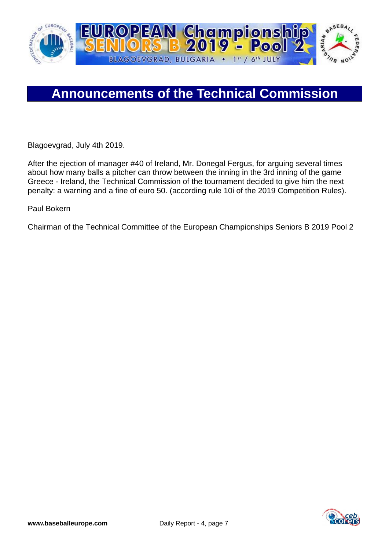

## **Announcements of the Technical Commission**

Blagoevgrad, July 4th 2019.

After the ejection of manager #40 of Ireland, Mr. Donegal Fergus, for arguing several times about how many balls a pitcher can throw between the inning in the 3rd inning of the game Greece - Ireland, the Technical Commission of the tournament decided to give him the next penalty: a warning and a fine of euro 50. (according rule 10i of the 2019 Competition Rules).

Paul Bokern

Chairman of the Technical Committee of the European Championships Seniors B 2019 Pool 2

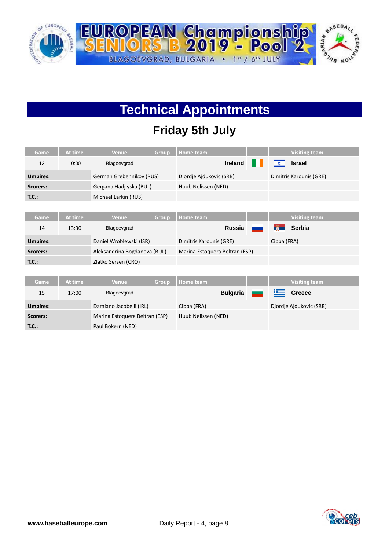

# **Technical Appointments**

## **Friday 5th July**

| Game             | At time   | <b>Venue</b>                 | Group | Home team                      |      |               | <b>Visiting team</b>    |
|------------------|-----------|------------------------------|-------|--------------------------------|------|---------------|-------------------------|
| 13               | 10:00     | Blagoevgrad                  |       | <b>Ireland</b>                 | - 13 | $\frac{1}{2}$ | <b>Israel</b>           |
| <b>Umpires:</b>  |           | German Grebennikov (RUS)     |       | Djordje Ajdukovic (SRB)        |      |               | Dimitris Karounis (GRE) |
| <b>Scorers:</b>  |           | Gergana Hadjiyska (BUL)      |       | Huub Nelissen (NED)            |      |               |                         |
| T.C.:            |           | Michael Larkin (RUS)         |       |                                |      |               |                         |
|                  |           |                              |       |                                |      |               |                         |
| Game             | At time   | <b>Venue</b>                 | Group | Home team                      |      |               | <b>Visiting team</b>    |
| 14               | 13:30     | Blagoevgrad                  |       | <b>Russia</b>                  |      | <b>Expert</b> | <b>Serbia</b>           |
| <b>Umpires:</b>  |           | Daniel Wroblewski (ISR)      |       | Dimitris Karounis (GRE)        |      | Cibba (FRA)   |                         |
| <b>Scorers:</b>  |           | Aleksandrina Bogdanova (BUL) |       | Marina Estoquera Beltran (ESP) |      |               |                         |
| T.C.:            |           | Zlatko Sersen (CRO)          |       |                                |      |               |                         |
|                  |           |                              |       |                                |      |               |                         |
| C <sub>max</sub> | As stores | $M_{\odot}$ in the set       |       | Custom Haman boom              |      |               | Mainland Annual         |

| Game            | At time | Venue                          | Group | Home team           |  | <b>Visiting team</b>    |
|-----------------|---------|--------------------------------|-------|---------------------|--|-------------------------|
| 15              | 17:00   | Blagoevgrad                    |       | <b>Bulgaria</b>     |  | Greece                  |
| <b>Umpires:</b> |         | Damiano Jacobelli (IRL)        |       | Cibba (FRA)         |  | Djordje Ajdukovic (SRB) |
| Scorers:        |         | Marina Estoquera Beltran (ESP) |       | Huub Nelissen (NED) |  |                         |
| T.C.:           |         | Paul Bokern (NED)              |       |                     |  |                         |